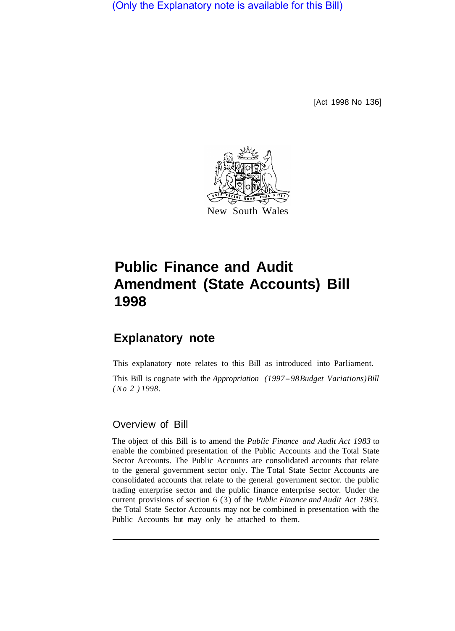(Only the Explanatory note is available for this Bill)

[Act 1998 No 136]



New South Wales

# **Public Finance and Audit Amendment (State Accounts) Bill 1998**

## **Explanatory note**

This explanatory note relates to this Bill as introduced into Parliament.

This Bill is cognate with the *Appropriation (1997-98 Budget Variations) Bill (No 2 ) 1998.* 

#### Overview of Bill

The object of this Bill is to amend the *Public Finance and Audit Act 1983* to enable the combined presentation of the Public Accounts and the Total State Sector Accounts. The Public Accounts are consolidated accounts that relate to the general government sector only. The Total State Sector Accounts are consolidated accounts that relate to the general government sector. the public trading enterprise sector and the public finance enterprise sector. Under the current provisions of section 6 (3) of the *Public Finance and Audit Act 1983.*  the Total State Sector Accounts may not be combined in presentation with the Public Accounts but may only be attached to them.